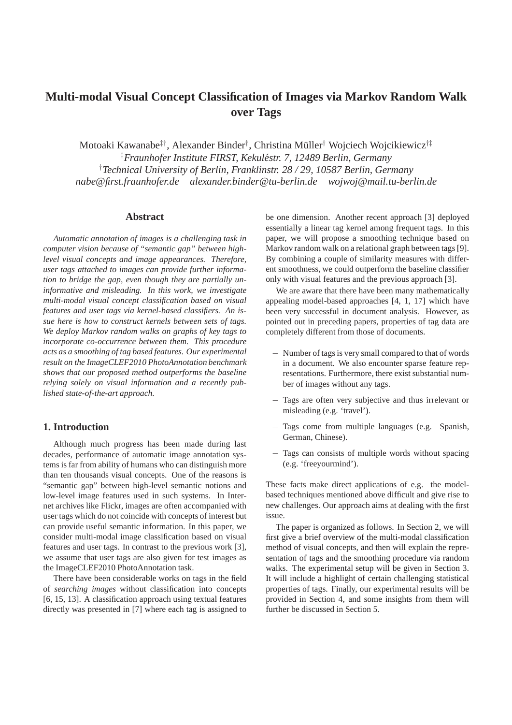# **Multi-modal Visual Concept Classification of Images via Markov Random Walk over Tags**

Motoaki Kawanabe‡†, Alexander Binder†, Christina Müller† Wojciech Wojcikiewicz†‡ ‡*Fraunhofer Institute FIRST, Kekulestr. 7, 12489 Berlin, Germany ´* †*Technical University of Berlin, Franklinstr. 28 / 29, 10587 Berlin, Germany nabe@first.fraunhofer.de alexander.binder@tu-berlin.de wojwoj@mail.tu-berlin.de*

### **Abstract**

*Automatic annotation of images is a challenging task in computer vision because of "semantic gap" between highlevel visual concepts and image appearances. Therefore, user tags attached to images can provide further information to bridge the gap, even though they are partially uninformative and misleading. In this work, we investigate multi-modal visual concept classification based on visual features and user tags via kernel-based classifiers. An issue here is how to construct kernels between sets of tags. We deploy Markov random walks on graphs of key tags to incorporate co-occurrence between them. This procedure acts as a smoothing of tag based features. Our experimental result on the ImageCLEF2010 PhotoAnnotation benchmark shows that our proposed method outperforms the baseline relying solely on visual information and a recently published state-of-the-art approach.*

# **1. Introduction**

Although much progress has been made during last decades, performance of automatic image annotation systems is far from ability of humans who can distinguish more than ten thousands visual concepts. One of the reasons is "semantic gap" between high-level semantic notions and low-level image features used in such systems. In Internet archives like Flickr, images are often accompanied with user tags which do not coincide with concepts of interest but can provide useful semantic information. In this paper, we consider multi-modal image classification based on visual features and user tags. In contrast to the previous work [3], we assume that user tags are also given for test images as the ImageCLEF2010 PhotoAnnotation task.

There have been considerable works on tags in the field of *searching images* without classification into concepts [6, 15, 13]. A classification approach using textual features directly was presented in [7] where each tag is assigned to be one dimension. Another recent approach [3] deployed essentially a linear tag kernel among frequent tags. In this paper, we will propose a smoothing technique based on Markov random walk on a relational graph between tags [9]. By combining a couple of similarity measures with different smoothness, we could outperform the baseline classifier only with visual features and the previous approach [3].

We are aware that there have been many mathematically appealing model-based approaches [4, 1, 17] which have been very successful in document analysis. However, as pointed out in preceding papers, properties of tag data are completely different from those of documents.

- − Number of tags is very small compared to that of words in a document. We also encounter sparse feature representations. Furthermore, there exist substantial number of images without any tags.
- − Tags are often very subjective and thus irrelevant or misleading (e.g. 'travel').
- − Tags come from multiple languages (e.g. Spanish, German, Chinese).
- − Tags can consists of multiple words without spacing (e.g. 'freeyourmind').

These facts make direct applications of e.g. the modelbased techniques mentioned above difficult and give rise to new challenges. Our approach aims at dealing with the first issue.

The paper is organized as follows. In Section 2, we will first give a brief overview of the multi-modal classification method of visual concepts, and then will explain the representation of tags and the smoothing procedure via random walks. The experimental setup will be given in Section 3. It will include a highlight of certain challenging statistical properties of tags. Finally, our experimental results will be provided in Section 4, and some insights from them will further be discussed in Section 5.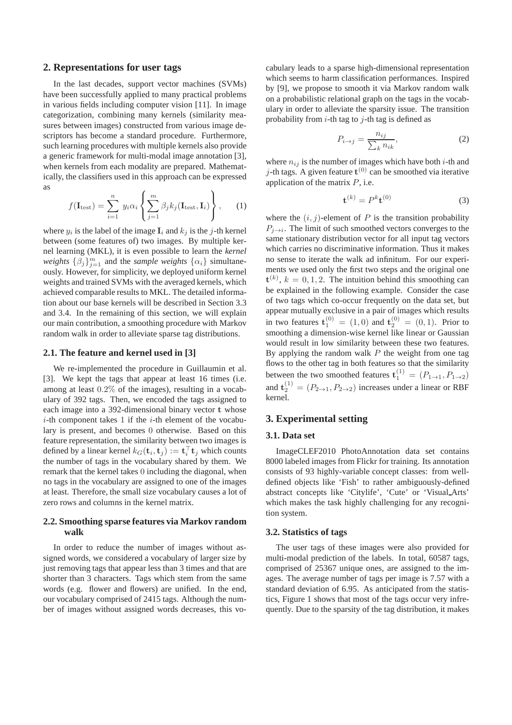#### **2. Representations for user tags**

In the last decades, support vector machines (SVMs) have been successfully applied to many practical problems in various fields including computer vision [11]. In image categorization, combining many kernels (similarity measures between images) constructed from various image descriptors has become a standard procedure. Furthermore, such learning procedures with multiple kernels also provide a generic framework for multi-modal image annotation [3], when kernels from each modality are prepared. Mathematically, the classifiers used in this approach can be expressed as

$$
f(\mathbf{I}_{\text{test}}) = \sum_{i=1}^{n} y_i \alpha_i \left\{ \sum_{j=1}^{m} \beta_j k_j (\mathbf{I}_{\text{test}}, \mathbf{I}_i) \right\}, \qquad (1)
$$

where  $y_i$  is the label of the image  $\mathbf{I}_i$  and  $k_j$  is the j-th kernel between (some features of) two images. By multiple kernel learning (MKL), it is even possible to learn the *kernel weights*  $\{\beta_j\}_{j=1}^m$  and the *sample weights*  $\{\alpha_i\}$  simultaneously. However, for simplicity, we deployed uniform kernel weights and trained SVMs with the averaged kernels, which achieved comparable results to MKL. The detailed information about our base kernels will be described in Section 3.3 and 3.4. In the remaining of this section, we will explain our main contribution, a smoothing procedure with Markov random walk in order to alleviate sparse tag distributions.

### **2.1. The feature and kernel used in [3]**

We re-implemented the procedure in Guillaumin et al. [3]. We kept the tags that appear at least 16 times (i.e. among at least 0.2% of the images), resulting in a vocabulary of 392 tags. Then, we encoded the tags assigned to each image into a 392-dimensional binary vector t whose  $i$ -th component takes 1 if the  $i$ -th element of the vocabulary is present, and becomes 0 otherwise. Based on this feature representation, the similarity between two images is defined by a linear kernel  $k_G(\mathbf{t}_i, \mathbf{t}_j) := \mathbf{t}_i^{\top} \mathbf{t}_j$  which counts the number of tags in the vocabulary shared by them. We remark that the kernel takes 0 including the diagonal, when no tags in the vocabulary are assigned to one of the images at least. Therefore, the small size vocabulary causes a lot of zero rows and columns in the kernel matrix.

## **2.2. Smoothing sparse features via Markov random walk**

In order to reduce the number of images without assigned words, we considered a vocabulary of larger size by just removing tags that appear less than 3 times and that are shorter than 3 characters. Tags which stem from the same words (e.g. flower and flowers) are unified. In the end, our vocabulary comprised of 2415 tags. Although the number of images without assigned words decreases, this vocabulary leads to a sparse high-dimensional representation which seems to harm classification performances. Inspired by [9], we propose to smooth it via Markov random walk on a probabilistic relational graph on the tags in the vocabulary in order to alleviate the sparsity issue. The transition probability from  $i$ -th tag to  $j$ -th tag is defined as

$$
P_{i \to j} = \frac{n_{ij}}{\sum_{k} n_{ik}},\tag{2}
$$

where  $n_{ij}$  is the number of images which have both *i*-th and j-th tags. A given feature  $t^{(0)}$  can be smoothed via iterative application of the matrix  $P$ , i.e.

$$
\mathbf{t}^{(k)} = P^k \mathbf{t}^{(0)} \tag{3}
$$

where the  $(i, j)$ -element of P is the transition probability  $P_{j \to i}$ . The limit of such smoothed vectors converges to the same stationary distribution vector for all input tag vectors which carries no discriminative information. Thus it makes no sense to iterate the walk ad infinitum. For our experiments we used only the first two steps and the original one  ${\bf t}^{(k)}$ ,  $k = 0, 1, 2$ . The intuition behind this smoothing can be explained in the following example. Consider the case of two tags which co-occur frequently on the data set, but appear mutually exclusive in a pair of images which results in two features  $\mathbf{t}_{1}^{(0)} = (1,0)$  and  $\mathbf{t}_{2}^{(0)} = (0,1)$ . Prior to smoothing a dimension-wise kernel like linear or Gaussian would result in low similarity between these two features. By applying the random walk  $P$  the weight from one tag flows to the other tag in both features so that the similarity between the two smoothed features  $\mathbf{t}_{1}^{(1)} = (P_{1 \rightarrow 1}, P_{1 \rightarrow 2})$ and  $\mathbf{t}_{2}^{(1)} = (P_{2 \to 1}, P_{2 \to 2})$  increases under a linear or RBF kernel.

# **3. Experimental setting**

#### **3.1. Data set**

ImageCLEF2010 PhotoAnnotation data set contains 8000 labeled images from Flickr for training. Its annotation consists of 93 highly-variable concept classes: from welldefined objects like 'Fish' to rather ambiguously-defined abstract concepts like 'Citylife', 'Cute' or 'Visual Arts' which makes the task highly challenging for any recognition system.

# **3.2. Statistics of tags**

The user tags of these images were also provided for multi-modal prediction of the labels. In total, 60587 tags, comprised of 25367 unique ones, are assigned to the images. The average number of tags per image is 7.57 with a standard deviation of 6.95. As anticipated from the statistics, Figure 1 shows that most of the tags occur very infrequently. Due to the sparsity of the tag distribution, it makes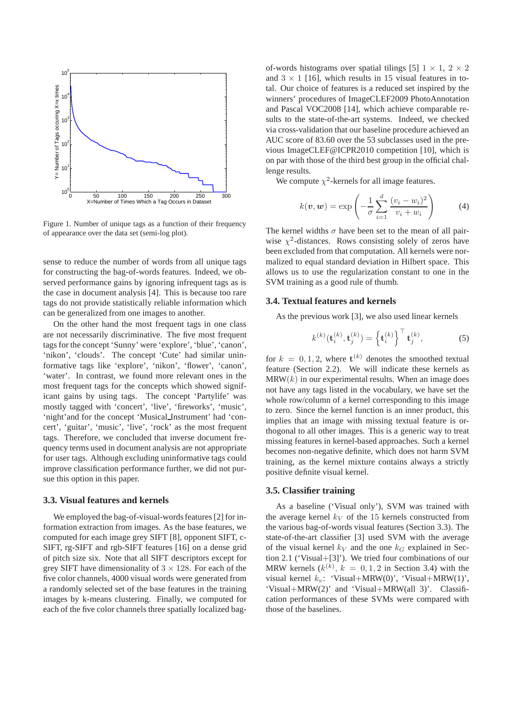

Figure 1. Number of unique tags as a function of their frequency of appearance over the data set (semi-log plot).

sense to reduce the number of words from all unique tags for constructing the bag-of-words features. Indeed, we observed performance gains by ignoring infrequent tags as is the case in document analysis [4]. This is because too rare tags do not provide statistically reliable information which can be generalized from one images to another.

On the other hand the most frequent tags in one class are not necessarily discriminative. The five most frequent tags for the concept 'Sunny' were 'explore', 'blue', 'canon', 'nikon', 'clouds'. The concept 'Cute' had similar uninformative tags like 'explore', 'nikon', 'flower', 'canon', 'water'. In contrast, we found more relevant ones in the most frequent tags for the concepts which showed significant gains by using tags. The concept 'Partylife' was mostly tagged with 'concert', 'live', 'fireworks', 'music', 'night'and for the concept 'Musical Instrument' had 'concert', 'guitar', 'music', 'live', 'rock' as the most frequent tags. Therefore, we concluded that inverse document frequency terms used in document analysis are not appropriate for user tags. Although excluding uninformative tags could improve classification performance further, we did not pursue this option in this paper.

#### **3.3. Visual features and kernels**

We employed the bag-of-visual-words features [2] for information extraction from images. As the base features, we computed for each image grey SIFT [8], opponent SIFT, c-SIFT, rg-SIFT and rgb-SIFT features [16] on a dense grid of pitch size six. Note that all SIFT descriptors except for grey SIFT have dimensionality of  $3 \times 128$ . For each of the five color channels, 4000 visual words were generated from a randomly selected set of the base features in the training images by k-means clustering. Finally, we computed for each of the five color channels three spatially localized bagof-words histograms over spatial tilings [5]  $1 \times 1$ ,  $2 \times 2$ and  $3 \times 1$  [16], which results in 15 visual features in total. Our choice of features is a reduced set inspired by the winners' procedures of ImageCLEF2009 PhotoAnnotation and Pascal VOC2008 [14], which achieve comparable results to the state-of-the-art systems. Indeed, we checked via cross-validation that our baseline procedure achieved an AUC score of 83.60 over the 53 subclasses used in the previous ImageCLEF@ICPR2010 competition [10], which is on par with those of the third best group in the official challenge results.

We compute  $\chi^2$ -kernels for all image features.

$$
k(\boldsymbol{v}, \boldsymbol{w}) = \exp\left(-\frac{1}{\sigma} \sum_{i=1}^{d} \frac{(v_i - w_i)^2}{v_i + w_i}\right) \tag{4}
$$

The kernel widths  $\sigma$  have been set to the mean of all pairwise  $\chi^2$ -distances. Rows consisting solely of zeros have been excluded from that computation. All kernels were normalized to equal standard deviation in Hilbert space. This allows us to use the regularization constant to one in the SVM training as a good rule of thumb.

#### **3.4. Textual features and kernels**

As the previous work [3], we also used linear kernels

$$
k^{(k)}(\mathbf{t}_i^{(k)}, \mathbf{t}_j^{(k)}) = \left\{\mathbf{t}_i^{(k)}\right\}^{\top} \mathbf{t}_j^{(k)},\tag{5}
$$

for  $k = 0, 1, 2$ , where  $\mathbf{t}^{(k)}$  denotes the smoothed textual feature (Section 2.2). We will indicate these kernels as  $MRW(k)$  in our experimental results. When an image does not have any tags listed in the vocabulary, we have set the whole row/column of a kernel corresponding to this image to zero. Since the kernel function is an inner product, this implies that an image with missing textual feature is orthogonal to all other images. This is a generic way to treat missing features in kernel-based approaches. Such a kernel becomes non-negative definite, which does not harm SVM training, as the kernel mixture contains always a strictly positive definite visual kernel.

# **3.5. Classifier training**

As a baseline ('Visual only'), SVM was trained with the average kernel  $k_V$  of the 15 kernels constructed from the various bag-of-words visual features (Section 3.3). The state-of-the-art classifier [3] used SVM with the average of the visual kernel  $k_V$  and the one  $k_G$  explained in Section 2.1 ('Visual+[3]'). We tried four combinations of our MRW kernels  $(k^{(k)}, k = 0, 1, 2$  in Section 3.4) with the visual kernel  $k_v$ : 'Visual+MRW(0)', 'Visual+MRW(1)', 'Visual+MRW(2)' and 'Visual+MRW(all 3)'. Classification performances of these SVMs were compared with those of the baselines.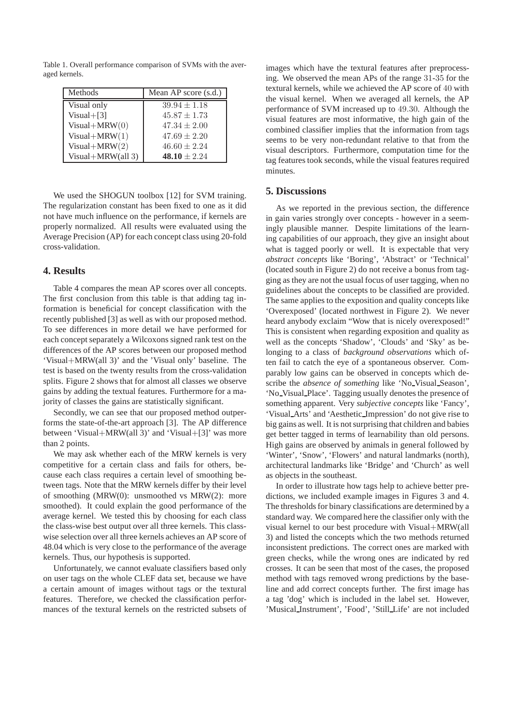Table 1. Overall performance comparison of SVMs with the averaged kernels.

| Methods           | Mean AP score $(s.d.)$ |
|-------------------|------------------------|
| Visual only       | $39.94 \pm 1.18$       |
| $Visual+[3]$      | $45.87 \pm 1.73$       |
| $Visual+MRW(0)$   | $47.34 \pm 2.00$       |
| $Visual+MRW(1)$   | $47.69 \pm 2.20$       |
| Visual+ $MRW(2)$  | $46.60 \pm 2.24$       |
| Visual+MRW(all 3) | 48.10 $\pm 2.24$       |

We used the SHOGUN toolbox [12] for SVM training. The regularization constant has been fixed to one as it did not have much influence on the performance, if kernels are properly normalized. All results were evaluated using the Average Precision (AP) for each concept class using 20-fold cross-validation.

# **4. Results**

Table 4 compares the mean AP scores over all concepts. The first conclusion from this table is that adding tag information is beneficial for concept classification with the recently published [3] as well as with our proposed method. To see differences in more detail we have performed for each concept separately a Wilcoxons signed rank test on the differences of the AP scores between our proposed method 'Visual+MRW(all 3)' and the 'Visual only' baseline. The test is based on the twenty results from the cross-validation splits. Figure 2 shows that for almost all classes we observe gains by adding the textual features. Furthermore for a majority of classes the gains are statistically significant.

Secondly, we can see that our proposed method outperforms the state-of-the-art approach [3]. The AP difference between 'Visual+MRW(all 3)' and 'Visual+[3]' was more than 2 points.

We may ask whether each of the MRW kernels is very competitive for a certain class and fails for others, because each class requires a certain level of smoothing between tags. Note that the MRW kernels differ by their level of smoothing (MRW(0): unsmoothed vs MRW(2): more smoothed). It could explain the good performance of the average kernel. We tested this by choosing for each class the class-wise best output over all three kernels. This classwise selection over all three kernels achieves an AP score of 48.04 which is very close to the performance of the average kernels. Thus, our hypothesis is supported.

Unfortunately, we cannot evaluate classifiers based only on user tags on the whole CLEF data set, because we have a certain amount of images without tags or the textural features. Therefore, we checked the classification performances of the textural kernels on the restricted subsets of images which have the textural features after preprocessing. We observed the mean APs of the range 31-35 for the textural kernels, while we achieved the AP score of 40 with the visual kernel. When we averaged all kernels, the AP performance of SVM increased up to 49.30. Although the visual features are most informative, the high gain of the combined classifier implies that the information from tags seems to be very non-redundant relative to that from the visual descriptors. Furthermore, computation time for the tag features took seconds, while the visual features required minutes.

#### **5. Discussions**

As we reported in the previous section, the difference in gain varies strongly over concepts - however in a seemingly plausible manner. Despite limitations of the learning capabilities of our approach, they give an insight about what is tagged poorly or well. It is expectable that very *abstract concepts* like 'Boring', 'Abstract' or 'Technical' (located south in Figure 2) do not receive a bonus from tagging as they are not the usual focus of user tagging, when no guidelines about the concepts to be classified are provided. The same applies to the exposition and quality concepts like 'Overexposed' (located northwest in Figure 2). We never heard anybody exclaim "Wow that is nicely overexposed!" This is consistent when regarding exposition and quality as well as the concepts 'Shadow', 'Clouds' and 'Sky' as belonging to a class of *background observations* which often fail to catch the eye of a spontaneous observer. Comparably low gains can be observed in concepts which describe the *absence of something* like 'No\_Visual Season', 'No Visual Place'. Tagging usually denotes the presence of something apparent. Very *subjective concepts* like 'Fancy', 'Visual Arts' and 'Aesthetic Impression' do not give rise to big gains as well. It is not surprising that children and babies get better tagged in terms of learnability than old persons. High gains are observed by animals in general followed by 'Winter', 'Snow', 'Flowers' and natural landmarks (north), architectural landmarks like 'Bridge' and 'Church' as well as objects in the southeast.

In order to illustrate how tags help to achieve better predictions, we included example images in Figures 3 and 4. The thresholds for binary classifications are determined by a standard way. We compared here the classifier only with the visual kernel to our best procedure with Visual+MRW(all 3) and listed the concepts which the two methods returned inconsistent predictions. The correct ones are marked with green checks, while the wrong ones are indicated by red crosses. It can be seen that most of the cases, the proposed method with tags removed wrong predictions by the baseline and add correct concepts further. The first image has a tag 'dog' which is included in the label set. However, 'Musical Instrument', 'Food', 'Still Life' are not included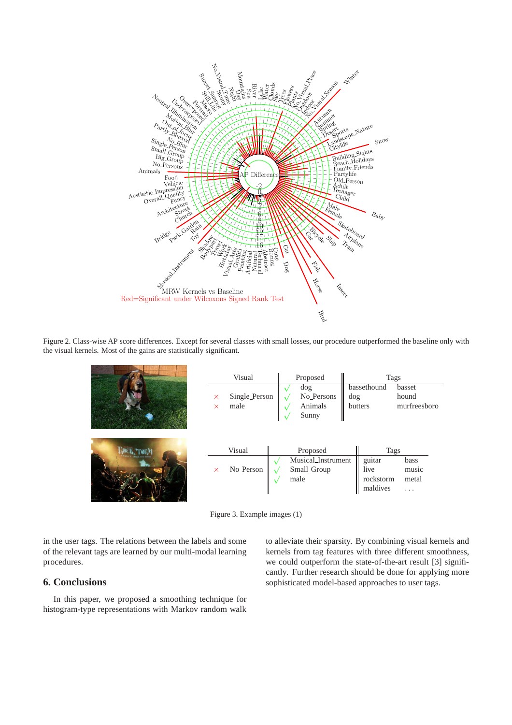

Figure 2. Class-wise AP score differences. Except for several classes with small losses, our procedure outperformed the baseline only with the visual kernels. Most of the gains are statistically significant.

| Visual |                       |  | Proposed                                   |     | Tags                  |                                  |  |
|--------|-----------------------|--|--------------------------------------------|-----|-----------------------|----------------------------------|--|
|        |                       |  | dog                                        |     | bassethound           | basset                           |  |
| X<br>X | Single_Person<br>male |  | No <sub>-Persons</sub><br>Animals<br>Sunny | dog | butters               | hound<br>murfreesboro            |  |
|        | Visual                |  | Proposed                                   |     | Tags                  |                                  |  |
|        |                       |  | Musical_Instrument                         |     | guitar                | bass                             |  |
| X      | No_Person             |  | Small_Group                                |     | live                  | music                            |  |
|        |                       |  | male                                       |     | rockstorm<br>maldives | metal<br>$\cdot$ $\cdot$ $\cdot$ |  |

Figure 3. Example images (1)

in the user tags. The relations between the labels and some of the relevant tags are learned by our multi-modal learning procedures.

# **6. Conclusions**

In this paper, we proposed a smoothing technique for histogram-type representations with Markov random walk to alleviate their sparsity. By combining visual kernels and kernels from tag features with three different smoothness, we could outperform the state-of-the-art result [3] significantly. Further research should be done for applying more sophisticated model-based approaches to user tags.